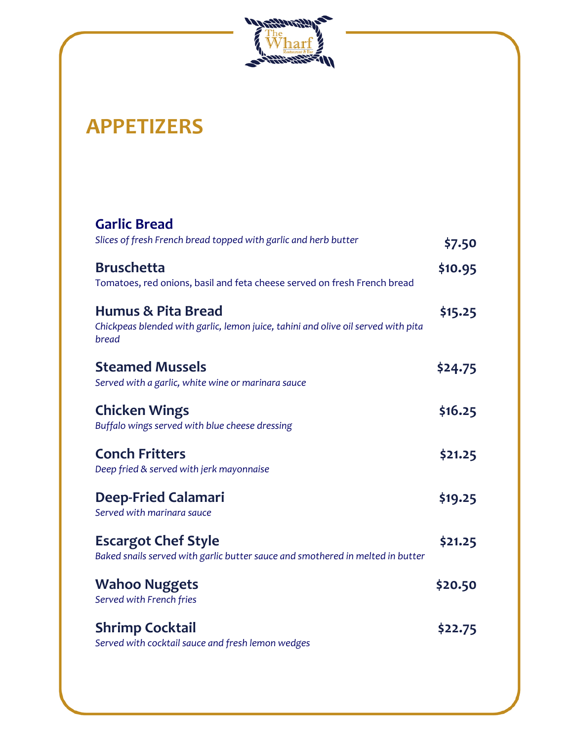

## **APPETIZERS**

| <b>Garlic Bread</b>                                                                                                         |         |
|-----------------------------------------------------------------------------------------------------------------------------|---------|
| Slices of fresh French bread topped with garlic and herb butter                                                             | \$7.50  |
| <b>Bruschetta</b><br>Tomatoes, red onions, basil and feta cheese served on fresh French bread                               | \$10.95 |
| <b>Humus &amp; Pita Bread</b><br>Chickpeas blended with garlic, lemon juice, tahini and olive oil served with pita<br>bread | \$15.25 |
| <b>Steamed Mussels</b><br>Served with a garlic, white wine or marinara sauce                                                | \$24.75 |
| <b>Chicken Wings</b><br>Buffalo wings served with blue cheese dressing                                                      | \$16.25 |
| <b>Conch Fritters</b><br>Deep fried & served with jerk mayonnaise                                                           | \$21.25 |
| <b>Deep-Fried Calamari</b><br>Served with marinara sauce                                                                    | \$19.25 |
| <b>Escargot Chef Style</b><br>Baked snails served with garlic butter sauce and smothered in melted in butter                | \$21.25 |
| <b>Wahoo Nuggets</b><br>Served with French fries                                                                            | \$20.50 |
| <b>Shrimp Cocktail</b><br>Served with cocktail sauce and fresh lemon wedges                                                 | \$22.75 |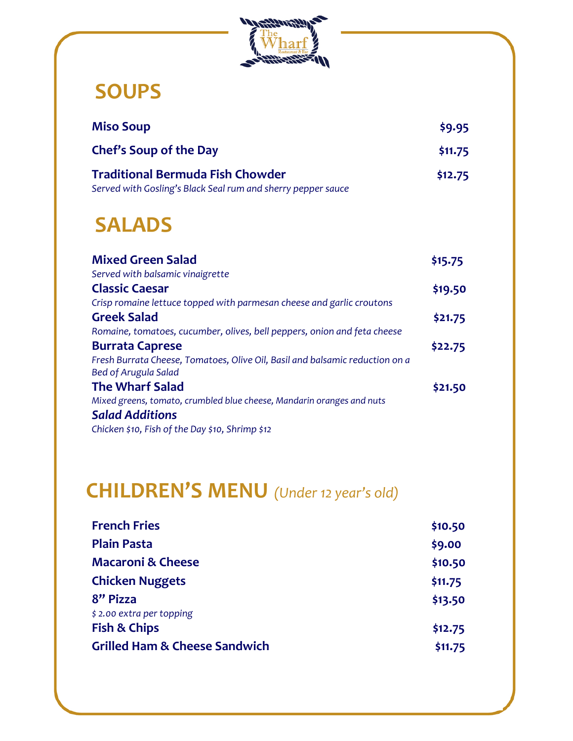

#### **SOUPS**

| <b>Miso Soup</b>                                             | \$9.95  |
|--------------------------------------------------------------|---------|
| Chef's Soup of the Day                                       | \$11.75 |
| <b>Traditional Bermuda Fish Chowder</b>                      | \$12.75 |
| Served with Gosling's Black Seal rum and sherry pepper sauce |         |

### **SALADS**

| <b>Mixed Green Salad</b>                                                     | \$15.75 |
|------------------------------------------------------------------------------|---------|
| Served with balsamic vinaigrette                                             |         |
| <b>Classic Caesar</b>                                                        | \$19.50 |
| Crisp romaine lettuce topped with parmesan cheese and garlic croutons        |         |
| <b>Greek Salad</b>                                                           | \$21.75 |
| Romaine, tomatoes, cucumber, olives, bell peppers, onion and feta cheese     |         |
| <b>Burrata Caprese</b>                                                       | \$22.75 |
| Fresh Burrata Cheese, Tomatoes, Olive Oil, Basil and balsamic reduction on a |         |
| <b>Bed of Arugula Salad</b>                                                  |         |
| <b>The Wharf Salad</b>                                                       | \$21.50 |
| Mixed greens, tomato, crumbled blue cheese, Mandarin oranges and nuts        |         |
| <b>Salad Additions</b>                                                       |         |
| Chicken \$10, Fish of the Day \$10, Shrimp \$12                              |         |

# **CHILDREN'S MENU** *(Under 12 year's old)*

| <b>French Fries</b>                      | \$10.50 |
|------------------------------------------|---------|
| <b>Plain Pasta</b>                       | \$9.00  |
| <b>Macaroni &amp; Cheese</b>             | \$10.50 |
| <b>Chicken Nuggets</b>                   | \$11.75 |
| 8" Pizza                                 | \$13.50 |
| \$2.00 extra per topping                 |         |
| <b>Fish &amp; Chips</b>                  | \$12.75 |
| <b>Grilled Ham &amp; Cheese Sandwich</b> | \$11.75 |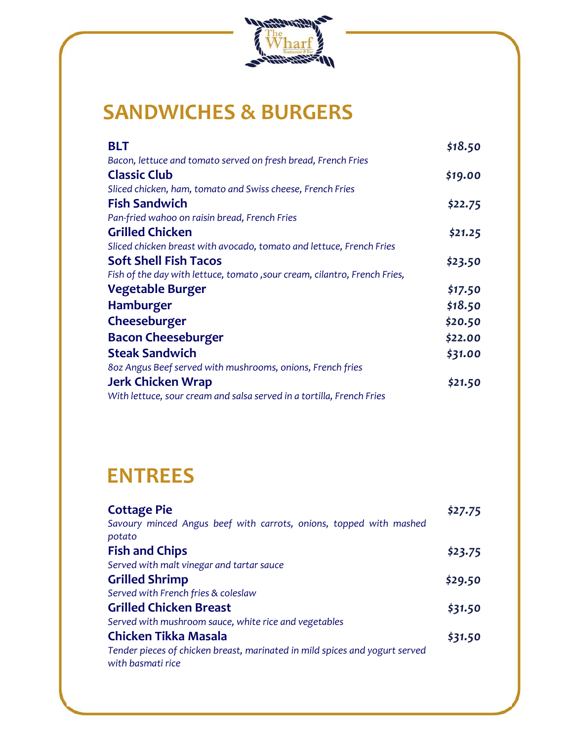

#### **SANDWICHES & BURGERS**

| <b>BLT</b>                                                                | \$18.50 |
|---------------------------------------------------------------------------|---------|
| Bacon, lettuce and tomato served on fresh bread, French Fries             |         |
| <b>Classic Club</b>                                                       | \$19.00 |
| Sliced chicken, ham, tomato and Swiss cheese, French Fries                |         |
| <b>Fish Sandwich</b>                                                      | \$22.75 |
| Pan-fried wahoo on raisin bread, French Fries                             |         |
| <b>Grilled Chicken</b>                                                    | \$21.25 |
| Sliced chicken breast with avocado, tomato and lettuce, French Fries      |         |
| <b>Soft Shell Fish Tacos</b>                                              | \$23.50 |
| Fish of the day with lettuce, tomato, sour cream, cilantro, French Fries, |         |
| <b>Vegetable Burger</b>                                                   | \$17.50 |
| <b>Hamburger</b>                                                          | \$18.50 |
| Cheeseburger                                                              | \$20.50 |
| <b>Bacon Cheeseburger</b>                                                 | \$22.00 |
| <b>Steak Sandwich</b>                                                     | \$31.00 |
| 80z Angus Beef served with mushrooms, onions, French fries                |         |
| <b>Jerk Chicken Wrap</b>                                                  | \$21.50 |
| With lettuce, sour cream and salsa served in a tortilla, French Fries     |         |

#### **ENTREES**

| <b>Cottage Pie</b>                                                                               | \$27.75 |
|--------------------------------------------------------------------------------------------------|---------|
| Savoury minced Angus beef with carrots, onions, topped with mashed                               |         |
| potato                                                                                           |         |
| <b>Fish and Chips</b>                                                                            | \$23.75 |
| Served with malt vinegar and tartar sauce                                                        |         |
| <b>Grilled Shrimp</b>                                                                            | \$29.50 |
| Served with French fries & coleslaw                                                              |         |
| <b>Grilled Chicken Breast</b>                                                                    | \$31.50 |
| Served with mushroom sauce, white rice and vegetables                                            |         |
| <b>Chicken Tikka Masala</b>                                                                      | \$31.50 |
| Tender pieces of chicken breast, marinated in mild spices and yogurt served<br>with basmati rice |         |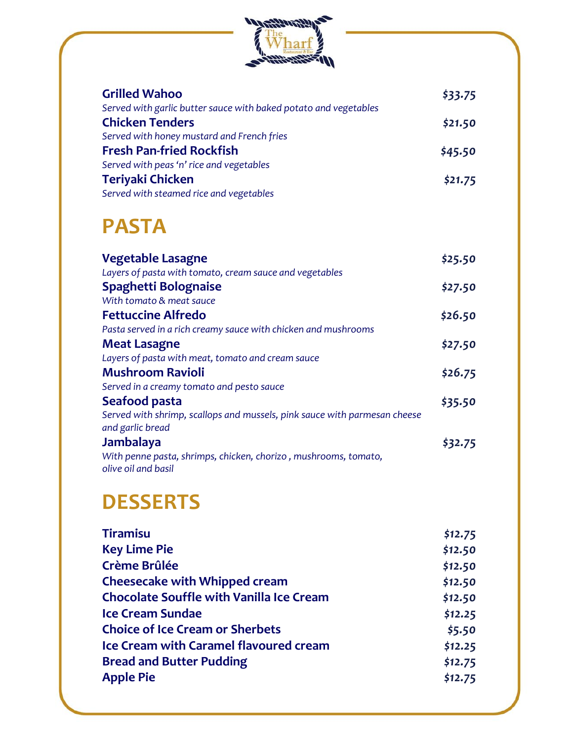

| <b>Grilled Wahoo</b>                                             | \$33.75 |
|------------------------------------------------------------------|---------|
| Served with garlic butter sauce with baked potato and vegetables |         |
| <b>Chicken Tenders</b>                                           | \$21.50 |
| Served with honey mustard and French fries                       |         |
| <b>Fresh Pan-fried Rockfish</b>                                  | \$45.50 |
| Served with peas 'n' rice and vegetables                         |         |
| Teriyaki Chicken                                                 | \$21.75 |
| Served with steamed rice and vegetables                          |         |

#### **PASTA**

| <b>Vegetable Lasagne</b>                                                                      | \$25.50 |
|-----------------------------------------------------------------------------------------------|---------|
| Layers of pasta with tomato, cream sauce and vegetables                                       |         |
| Spaghetti Bolognaise                                                                          | \$27.50 |
| With tomato & meat sauce                                                                      |         |
| <b>Fettuccine Alfredo</b>                                                                     | \$26.50 |
| Pasta served in a rich creamy sauce with chicken and mushrooms                                |         |
| <b>Meat Lasagne</b>                                                                           | \$27.50 |
| Layers of pasta with meat, tomato and cream sauce                                             |         |
| <b>Mushroom Ravioli</b>                                                                       | \$26.75 |
| Served in a creamy tomato and pesto sauce                                                     |         |
| Seafood pasta                                                                                 | \$35.50 |
| Served with shrimp, scallops and mussels, pink sauce with parmesan cheese<br>and garlic bread |         |
| Jambalaya                                                                                     | \$32.75 |
| With penne pasta, shrimps, chicken, chorizo, mushrooms, tomato,<br>olive oil and basil        |         |

## **DESSERTS**

| <b>Tiramisu</b>                                 | \$12.75 |
|-------------------------------------------------|---------|
| <b>Key Lime Pie</b>                             | \$12.50 |
| <b>Crème Brûlée</b>                             | \$12.50 |
| <b>Cheesecake with Whipped cream</b>            | \$12.50 |
| <b>Chocolate Souffle with Vanilla Ice Cream</b> | \$12.50 |
| <b>Ice Cream Sundae</b>                         | \$12.25 |
| <b>Choice of Ice Cream or Sherbets</b>          | \$5.50  |
| <b>Ice Cream with Caramel flavoured cream</b>   | \$12.25 |
| <b>Bread and Butter Pudding</b>                 | \$12.75 |
| <b>Apple Pie</b>                                | \$12.75 |